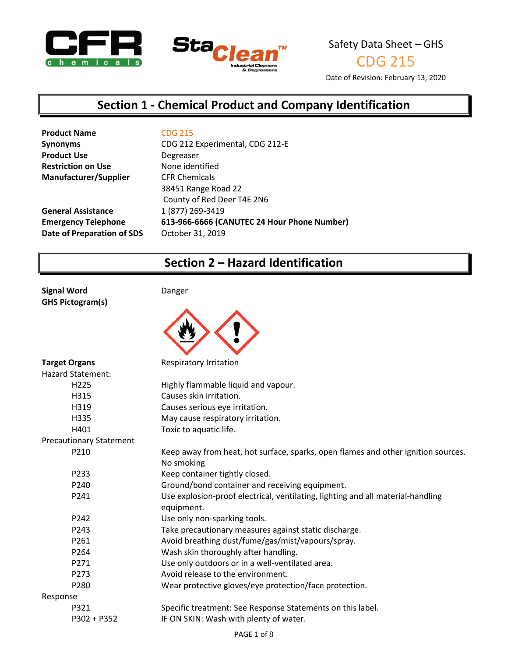



CDG 215

Date of Revision: February 13, 2020

# **Section 1 - Chemical Product and Company Identification**

| <b>CDG 215</b>                              |
|---------------------------------------------|
| CDG 212 Experimental, CDG 212-E             |
| Degreaser                                   |
| None identified                             |
| <b>CFR Chemicals</b>                        |
| 38451 Range Road 22                         |
| County of Red Deer T4E 2N6                  |
| 1 (877) 269-3419                            |
| 613-966-6666 (CANUTEC 24 Hour Phone Number) |
| October 31, 2019                            |
|                                             |

# **Section 2 – Hazard Identification**

**Signal Word** Danger **GHS Pictogram(s)**



| <b>Target Organs</b>           | Respiratory Irritation                                                            |
|--------------------------------|-----------------------------------------------------------------------------------|
| <b>Hazard Statement:</b>       |                                                                                   |
| H <sub>225</sub>               | Highly flammable liquid and vapour.                                               |
| H315                           | Causes skin irritation.                                                           |
| H319                           | Causes serious eye irritation.                                                    |
| H335                           | May cause respiratory irritation.                                                 |
| H401                           | Toxic to aquatic life.                                                            |
| <b>Precautionary Statement</b> |                                                                                   |
| P210                           | Keep away from heat, hot surface, sparks, open flames and other ignition sources. |
|                                | No smoking                                                                        |
| P233                           | Keep container tightly closed.                                                    |
| P240                           | Ground/bond container and receiving equipment.                                    |
| P241                           | Use explosion-proof electrical, ventilating, lighting and all material-handling   |
|                                | equipment.                                                                        |
| P242                           | Use only non-sparking tools.                                                      |
| P243                           | Take precautionary measures against static discharge.                             |
| P261                           | Avoid breathing dust/fume/gas/mist/vapours/spray.                                 |
| P264                           | Wash skin thoroughly after handling.                                              |
| P271                           | Use only outdoors or in a well-ventilated area.                                   |
| P273                           | Avoid release to the environment.                                                 |
| P280                           | Wear protective gloves/eye protection/face protection.                            |
| Response                       |                                                                                   |
| P321                           | Specific treatment: See Response Statements on this label.                        |
| P302 + P352                    | IF ON SKIN: Wash with plenty of water.                                            |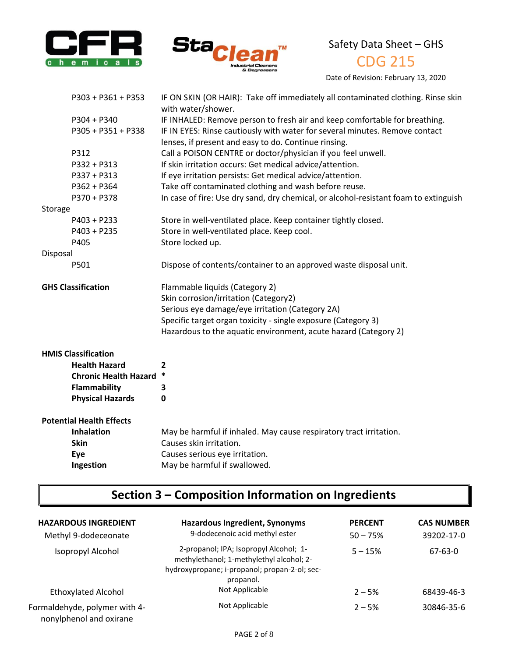



CDG 215

Date of Revision: February 13, 2020

|          | P303 + P361 + P353              | IF ON SKIN (OR HAIR): Take off immediately all contaminated clothing. Rinse skin<br>with water/shower. |
|----------|---------------------------------|--------------------------------------------------------------------------------------------------------|
|          | P304 + P340                     | IF INHALED: Remove person to fresh air and keep comfortable for breathing.                             |
|          | P305 + P351 + P338              | IF IN EYES: Rinse cautiously with water for several minutes. Remove contact                            |
|          |                                 | lenses, if present and easy to do. Continue rinsing.                                                   |
|          | P312                            | Call a POISON CENTRE or doctor/physician if you feel unwell.                                           |
|          | P332 + P313                     | If skin irritation occurs: Get medical advice/attention.                                               |
|          | P337 + P313                     | If eye irritation persists: Get medical advice/attention.                                              |
|          | P362 + P364                     | Take off contaminated clothing and wash before reuse.                                                  |
|          | P370 + P378                     | In case of fire: Use dry sand, dry chemical, or alcohol-resistant foam to extinguish                   |
| Storage  |                                 |                                                                                                        |
|          | P403 + P233                     | Store in well-ventilated place. Keep container tightly closed.                                         |
|          | P403 + P235                     | Store in well-ventilated place. Keep cool.                                                             |
|          | P405                            | Store locked up.                                                                                       |
| Disposal |                                 |                                                                                                        |
|          | P501                            | Dispose of contents/container to an approved waste disposal unit.                                      |
|          |                                 |                                                                                                        |
|          | <b>GHS Classification</b>       | Flammable liquids (Category 2)                                                                         |
|          |                                 | Skin corrosion/irritation (Category2)                                                                  |
|          |                                 | Serious eye damage/eye irritation (Category 2A)                                                        |
|          |                                 | Specific target organ toxicity - single exposure (Category 3)                                          |
|          |                                 | Hazardous to the aquatic environment, acute hazard (Category 2)                                        |
|          | <b>HMIS Classification</b>      |                                                                                                        |
|          | <b>Health Hazard</b>            | 2                                                                                                      |
|          | <b>Chronic Health Hazard</b>    | $\ast$                                                                                                 |
|          | <b>Flammability</b>             | 3                                                                                                      |
|          | <b>Physical Hazards</b>         | 0                                                                                                      |
|          | <b>Potential Health Effects</b> |                                                                                                        |
|          | <b>Inhalation</b>               | May be harmful if inhaled. May cause respiratory tract irritation.                                     |
|          | <b>Skin</b>                     | Causes skin irritation.                                                                                |
|          | Eye                             | Causes serious eye irritation.                                                                         |
|          | Ingestion                       | May be harmful if swallowed.                                                                           |
|          |                                 |                                                                                                        |

# **Section 3 – Composition Information on Ingredients**

| <b>HAZARDOUS INGREDIENT</b><br>Methyl 9-dodeceonate      | Hazardous Ingredient, Synonyms<br>9-dodecenoic acid methyl ester                                                                                 | <b>PERCENT</b><br>$50 - 75%$ | <b>CAS NUMBER</b><br>39202-17-0 |
|----------------------------------------------------------|--------------------------------------------------------------------------------------------------------------------------------------------------|------------------------------|---------------------------------|
| Isopropyl Alcohol                                        | 2-propanol; IPA; Isopropyl Alcohol; 1-<br>methylethanol; 1-methylethyl alcohol; 2-<br>hydroxypropane; i-propanol; propan-2-ol; sec-<br>propanol. | $5 - 15%$                    | $67 - 63 - 0$                   |
| <b>Ethoxylated Alcohol</b>                               | Not Applicable                                                                                                                                   | $2 - 5%$                     | 68439-46-3                      |
| Formaldehyde, polymer with 4-<br>nonylphenol and oxirane | Not Applicable                                                                                                                                   | $2 - 5%$                     | 30846-35-6                      |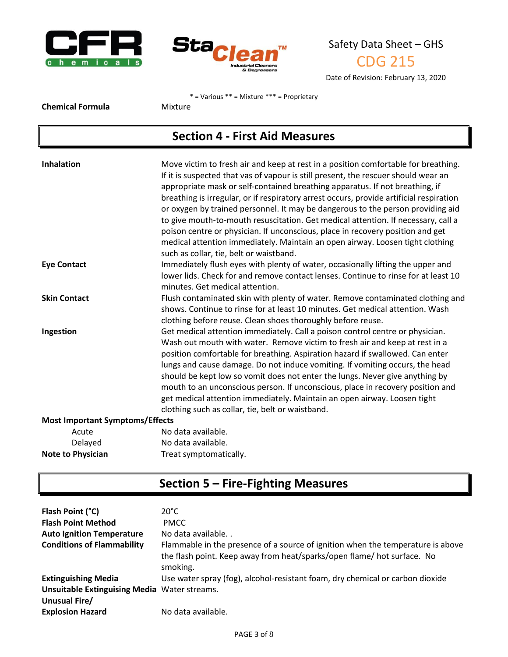



Date of Revision: February 13, 2020

\* = Various \*\* = Mixture \*\*\* = Proprietary

**Chemical Formula** Mixture

# **Section 4 - First Aid Measures**

| Inhalation                             | Move victim to fresh air and keep at rest in a position comfortable for breathing.<br>If it is suspected that vas of vapour is still present, the rescuer should wear an<br>appropriate mask or self-contained breathing apparatus. If not breathing, if<br>breathing is irregular, or if respiratory arrest occurs, provide artificial respiration<br>or oxygen by trained personnel. It may be dangerous to the person providing aid<br>to give mouth-to-mouth resuscitation. Get medical attention. If necessary, call a<br>poison centre or physician. If unconscious, place in recovery position and get<br>medical attention immediately. Maintain an open airway. Loosen tight clothing |
|----------------------------------------|------------------------------------------------------------------------------------------------------------------------------------------------------------------------------------------------------------------------------------------------------------------------------------------------------------------------------------------------------------------------------------------------------------------------------------------------------------------------------------------------------------------------------------------------------------------------------------------------------------------------------------------------------------------------------------------------|
|                                        | such as collar, tie, belt or waistband.                                                                                                                                                                                                                                                                                                                                                                                                                                                                                                                                                                                                                                                        |
| <b>Eye Contact</b>                     | Immediately flush eyes with plenty of water, occasionally lifting the upper and                                                                                                                                                                                                                                                                                                                                                                                                                                                                                                                                                                                                                |
|                                        | lower lids. Check for and remove contact lenses. Continue to rinse for at least 10                                                                                                                                                                                                                                                                                                                                                                                                                                                                                                                                                                                                             |
|                                        | minutes. Get medical attention.                                                                                                                                                                                                                                                                                                                                                                                                                                                                                                                                                                                                                                                                |
| <b>Skin Contact</b>                    | Flush contaminated skin with plenty of water. Remove contaminated clothing and                                                                                                                                                                                                                                                                                                                                                                                                                                                                                                                                                                                                                 |
|                                        | shows. Continue to rinse for at least 10 minutes. Get medical attention. Wash                                                                                                                                                                                                                                                                                                                                                                                                                                                                                                                                                                                                                  |
|                                        | clothing before reuse. Clean shoes thoroughly before reuse.                                                                                                                                                                                                                                                                                                                                                                                                                                                                                                                                                                                                                                    |
| Ingestion                              | Get medical attention immediately. Call a poison control centre or physician.<br>Wash out mouth with water. Remove victim to fresh air and keep at rest in a<br>position comfortable for breathing. Aspiration hazard if swallowed. Can enter<br>lungs and cause damage. Do not induce vomiting. If vomiting occurs, the head<br>should be kept low so vomit does not enter the lungs. Never give anything by<br>mouth to an unconscious person. If unconscious, place in recovery position and<br>get medical attention immediately. Maintain an open airway. Loosen tight<br>clothing such as collar, tie, belt or waistband.                                                                |
| <b>Most Important Symptoms/Effects</b> |                                                                                                                                                                                                                                                                                                                                                                                                                                                                                                                                                                                                                                                                                                |
| Acute                                  | No data available.                                                                                                                                                                                                                                                                                                                                                                                                                                                                                                                                                                                                                                                                             |
| Delayed                                | No data available.                                                                                                                                                                                                                                                                                                                                                                                                                                                                                                                                                                                                                                                                             |
| <b>Note to Physician</b>               | Treat symptomatically.                                                                                                                                                                                                                                                                                                                                                                                                                                                                                                                                                                                                                                                                         |

# **Section 5 – Fire-Fighting Measures**

| Flash Point (°C)                                    | $20^{\circ}$ C                                                                                                                                                         |
|-----------------------------------------------------|------------------------------------------------------------------------------------------------------------------------------------------------------------------------|
| <b>Flash Point Method</b>                           | <b>PMCC</b>                                                                                                                                                            |
| <b>Auto Ignition Temperature</b>                    | No data available                                                                                                                                                      |
| <b>Conditions of Flammability</b>                   | Flammable in the presence of a source of ignition when the temperature is above<br>the flash point. Keep away from heat/sparks/open flame/ hot surface. No<br>smoking. |
| <b>Extinguishing Media</b>                          | Use water spray (fog), alcohol-resistant foam, dry chemical or carbon dioxide                                                                                          |
| <b>Unsuitable Extinguising Media Water streams.</b> |                                                                                                                                                                        |
| Unusual Fire/                                       |                                                                                                                                                                        |
| <b>Explosion Hazard</b>                             | No data available.                                                                                                                                                     |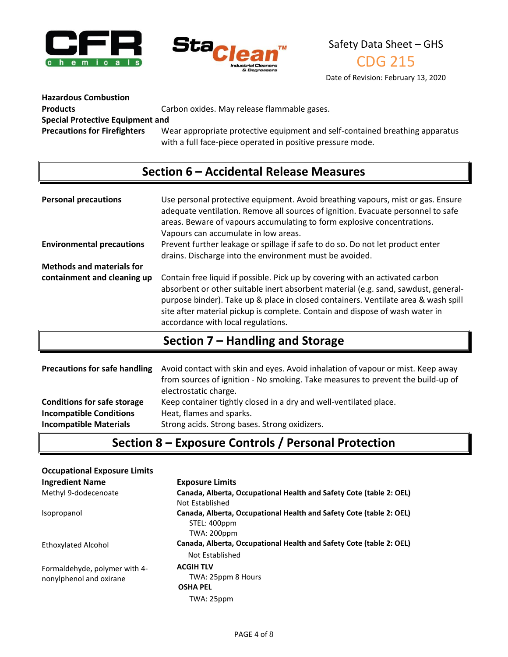



CDG 215

Date of Revision: February 13, 2020

**Hazardous Combustion** 

Products **Carbon oxides. May release flammable gases.** 

**Special Protective Equipment and** 

**Precautions for Firefighters** Wear appropriate protective equipment and self-contained breathing apparatus with a full face-piece operated in positive pressure mode.

# **Section 6 – Accidental Release Measures**

| <b>Personal precautions</b>      | Use personal protective equipment. Avoid breathing vapours, mist or gas. Ensure<br>adequate ventilation. Remove all sources of ignition. Evacuate personnel to safe<br>areas. Beware of vapours accumulating to form explosive concentrations.<br>Vapours can accumulate in low areas.                                                                                          |
|----------------------------------|---------------------------------------------------------------------------------------------------------------------------------------------------------------------------------------------------------------------------------------------------------------------------------------------------------------------------------------------------------------------------------|
| <b>Environmental precautions</b> | Prevent further leakage or spillage if safe to do so. Do not let product enter<br>drains. Discharge into the environment must be avoided.                                                                                                                                                                                                                                       |
| <b>Methods and materials for</b> |                                                                                                                                                                                                                                                                                                                                                                                 |
| containment and cleaning up      | Contain free liquid if possible. Pick up by covering with an activated carbon<br>absorbent or other suitable inert absorbent material (e.g. sand, sawdust, general-<br>purpose binder). Take up & place in closed containers. Ventilate area & wash spill<br>site after material pickup is complete. Contain and dispose of wash water in<br>accordance with local regulations. |

# **Section 7 – Handling and Storage**

| <b>Precautions for safe handling</b> | Avoid contact with skin and eyes. Avoid inhalation of vapour or mist. Keep away<br>from sources of ignition - No smoking. Take measures to prevent the build-up of<br>electrostatic charge. |
|--------------------------------------|---------------------------------------------------------------------------------------------------------------------------------------------------------------------------------------------|
| <b>Conditions for safe storage</b>   | Keep container tightly closed in a dry and well-ventilated place.                                                                                                                           |
| <b>Incompatible Conditions</b>       | Heat, flames and sparks.                                                                                                                                                                    |
| <b>Incompatible Materials</b>        | Strong acids. Strong bases. Strong oxidizers.                                                                                                                                               |

# **Section 8 – Exposure Controls / Personal Protection**

| <b>Occupational Exposure Limits</b>                      |                                                                                                           |
|----------------------------------------------------------|-----------------------------------------------------------------------------------------------------------|
| <b>Ingredient Name</b>                                   | <b>Exposure Limits</b>                                                                                    |
| Methyl 9-dodecenoate                                     | Canada, Alberta, Occupational Health and Safety Cote (table 2: OEL)<br>Not Established                    |
| Isopropanol                                              | Canada, Alberta, Occupational Health and Safety Cote (table 2: OEL)<br>STEL: 400ppm<br><b>TWA: 200ppm</b> |
| <b>Ethoxylated Alcohol</b>                               | Canada, Alberta, Occupational Health and Safety Cote (table 2: OEL)<br>Not Established                    |
| Formaldehyde, polymer with 4-<br>nonylphenol and oxirane | <b>ACGIH TLV</b><br>TWA: 25ppm 8 Hours<br><b>OSHA PEL</b><br>TWA: 25ppm                                   |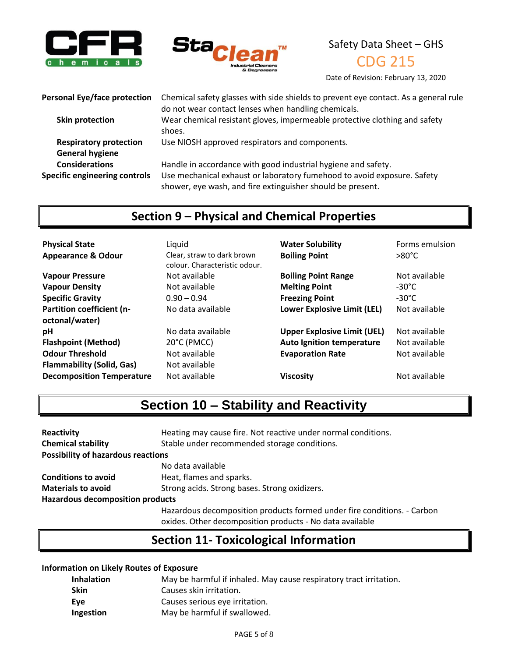



CDG 215

Date of Revision: February 13, 2020

**Personal Eye/face protection** Chemical safety glasses with side shields to prevent eye contact. As a general rule

**General hygiene** 

do not wear contact lenses when handling chemicals. **Skin protection** Wear chemical resistant gloves, impermeable protective clothing and safety shoes. **Respiratory protection** Use NIOSH approved respirators and components. **Considerations** Handle in accordance with good industrial hygiene and safety. **Specific engineering controls** Use mechanical exhaust or laboratory fumehood to avoid exposure. Safety shower, eye wash, and fire extinguisher should be present.

## **Section 9 – Physical and Chemical Properties**

| <b>Physical State</b>            | Liquid                                                      | <b>Water Solubility</b>            | Forms emulsion  |
|----------------------------------|-------------------------------------------------------------|------------------------------------|-----------------|
| <b>Appearance &amp; Odour</b>    | Clear, straw to dark brown<br>colour. Characteristic odour. | <b>Boiling Point</b>               | $>80^{\circ}$ C |
| <b>Vapour Pressure</b>           | Not available                                               | <b>Boiling Point Range</b>         | Not available   |
| <b>Vapour Density</b>            | Not available                                               | <b>Melting Point</b>               | $-30^{\circ}$ C |
| <b>Specific Gravity</b>          | $0.90 - 0.94$                                               | <b>Freezing Point</b>              | $-30^{\circ}$ C |
| Partition coefficient (n-        | No data available                                           | Lower Explosive Limit (LEL)        | Not available   |
| octonal/water)                   |                                                             |                                    |                 |
| pH                               | No data available                                           | <b>Upper Explosive Limit (UEL)</b> | Not available   |
| <b>Flashpoint (Method)</b>       | 20°C (PMCC)                                                 | <b>Auto Ignition temperature</b>   | Not available   |
| <b>Odour Threshold</b>           | Not available                                               | <b>Evaporation Rate</b>            | Not available   |
| <b>Flammability (Solid, Gas)</b> | Not available                                               |                                    |                 |
| <b>Decomposition Temperature</b> | Not available                                               | <b>Viscosity</b>                   | Not available   |

# **Section 10 – Stability and Reactivity**

| Reactivity                                | Heating may cause fire. Not reactive under normal conditions.                                                                                                                                                                                                                                               |
|-------------------------------------------|-------------------------------------------------------------------------------------------------------------------------------------------------------------------------------------------------------------------------------------------------------------------------------------------------------------|
| <b>Chemical stability</b>                 | Stable under recommended storage conditions.                                                                                                                                                                                                                                                                |
| <b>Possibility of hazardous reactions</b> |                                                                                                                                                                                                                                                                                                             |
|                                           | No data available                                                                                                                                                                                                                                                                                           |
| <b>Conditions to avoid</b>                | Heat, flames and sparks.                                                                                                                                                                                                                                                                                    |
| <b>Materials to avoid</b>                 | Strong acids. Strong bases. Strong oxidizers.                                                                                                                                                                                                                                                               |
| <b>Hazardous decomposition products</b>   |                                                                                                                                                                                                                                                                                                             |
|                                           | Hazardous decomposition products formed under fire conditions. - Carbon<br>$\cdots$ . The second contract of the second contract of the second contract of the second contract of the second contract of the second contract of the second contract of the second contract of the second contract of the se |

oxides. Other decomposition products - No data available

# **Section 11- Toxicological Information**

#### **Information on Likely Routes of Exposure**

| <b>Inhalation</b> | May be harmful if inhaled. May cause respiratory tract irritation. |
|-------------------|--------------------------------------------------------------------|
| <b>Skin</b>       | Causes skin irritation.                                            |
| Eve               | Causes serious eye irritation.                                     |
| Ingestion         | May be harmful if swallowed.                                       |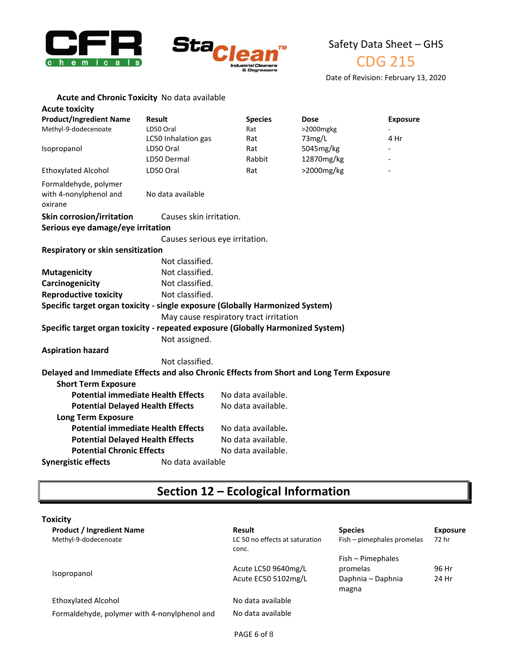



CDG 215

Date of Revision: February 13, 2020

| <b>Acute toxicity</b>                                                                    |                                |                                        |              |                 |
|------------------------------------------------------------------------------------------|--------------------------------|----------------------------------------|--------------|-----------------|
| <b>Product/Ingredient Name</b>                                                           | <b>Result</b>                  | <b>Species</b>                         | Dose         | <b>Exposure</b> |
| Methyl-9-dodecenoate                                                                     | LD50 Oral                      | Rat                                    | $>2000$ mgkg |                 |
|                                                                                          | LC50 Inhalation gas            | Rat                                    | 73mg/L       | 4 Hr            |
| Isopropanol                                                                              | LD50 Oral                      | Rat                                    | 5045mg/kg    |                 |
|                                                                                          | LD50 Dermal                    | Rabbit                                 | 12870mg/kg   |                 |
| <b>Ethoxylated Alcohol</b>                                                               | LD50 Oral                      | Rat                                    | >2000mg/kg   |                 |
| Formaldehyde, polymer<br>with 4-nonylphenol and<br>oxirane                               | No data available              |                                        |              |                 |
| <b>Skin corrosion/irritation</b>                                                         | Causes skin irritation.        |                                        |              |                 |
| Serious eye damage/eye irritation                                                        |                                |                                        |              |                 |
|                                                                                          | Causes serious eye irritation. |                                        |              |                 |
| Respiratory or skin sensitization                                                        |                                |                                        |              |                 |
|                                                                                          | Not classified.                |                                        |              |                 |
| <b>Mutagenicity</b>                                                                      | Not classified.                |                                        |              |                 |
| Carcinogenicity                                                                          | Not classified.                |                                        |              |                 |
| <b>Reproductive toxicity</b>                                                             | Not classified.                |                                        |              |                 |
| Specific target organ toxicity - single exposure (Globally Harmonized System)            |                                |                                        |              |                 |
|                                                                                          |                                | May cause respiratory tract irritation |              |                 |
| Specific target organ toxicity - repeated exposure (Globally Harmonized System)          |                                |                                        |              |                 |
|                                                                                          | Not assigned.                  |                                        |              |                 |
| <b>Aspiration hazard</b>                                                                 |                                |                                        |              |                 |
|                                                                                          | Not classified.                |                                        |              |                 |
| Delayed and Immediate Effects and also Chronic Effects from Short and Long Term Exposure |                                |                                        |              |                 |
| <b>Short Term Exposure</b>                                                               |                                |                                        |              |                 |
| <b>Potential immediate Health Effects</b>                                                |                                | No data available.                     |              |                 |
| <b>Potential Delayed Health Effects</b>                                                  |                                | No data available.                     |              |                 |
| <b>Long Term Exposure</b>                                                                |                                |                                        |              |                 |
| <b>Potential immediate Health Effects</b>                                                |                                | No data available.                     |              |                 |
| <b>Potential Delayed Health Effects</b>                                                  |                                | No data available.                     |              |                 |
| <b>Potential Chronic Effects</b>                                                         |                                | No data available.                     |              |                 |
| <b>Synergistic effects</b>                                                               | No data available              |                                        |              |                 |

# **Section 12 – Ecological Information**

| <b>Toxicity</b>                              |                                         |                            |                 |
|----------------------------------------------|-----------------------------------------|----------------------------|-----------------|
| <b>Product / Ingredient Name</b>             | Result                                  | <b>Species</b>             | <b>Exposure</b> |
| Methyl-9-dodecenoate                         | LC 50 no effects at saturation<br>conc. | Fish – pimephales promelas | 72 hr           |
|                                              |                                         | Fish - Pimephales          |                 |
|                                              | Acute LC50 9640mg/L                     | promelas                   | 96 Hr           |
| Isopropanol                                  | Acute EC50 5102mg/L                     | Daphnia - Daphnia<br>magna | 24 Hr           |
| <b>Ethoxylated Alcohol</b>                   | No data available                       |                            |                 |
| Formaldehyde, polymer with 4-nonylphenol and | No data available                       |                            |                 |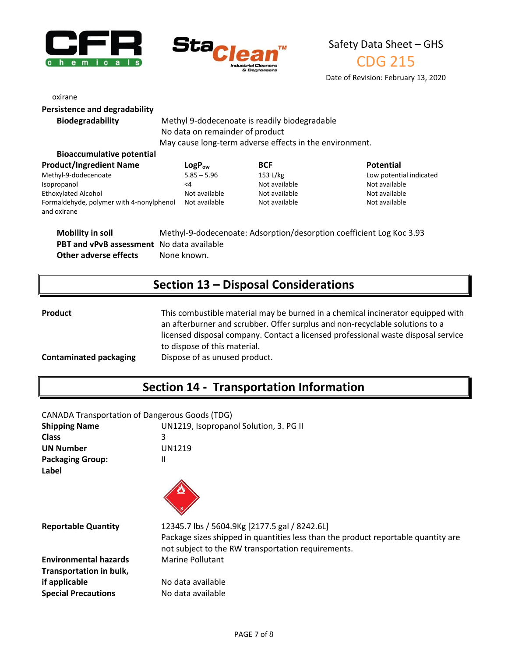



CDG 215

Date of Revision: February 13, 2020

| oxirane                              |                   |
|--------------------------------------|-------------------|
| <b>Persistence and degradability</b> |                   |
| <b>Biodegradability</b>              | Methyl 9-dodece   |
|                                      | No data on remai  |
|                                      | May cause long-te |

**Riodegradable** biodegradable inder of product erm adverse effects in the environment.

| <b>Bioaccumulative potential</b>                        |               |               |                         |
|---------------------------------------------------------|---------------|---------------|-------------------------|
| <b>Product/Ingredient Name</b>                          | $LogP_{ow}$   | <b>BCF</b>    | <b>Potential</b>        |
| Methyl-9-dodecenoate                                    | $5.85 - 5.96$ | 153 L/kg      | Low potential indicated |
| Isopropanol                                             | <4            | Not available | Not available           |
| <b>Ethoxylated Alcohol</b>                              | Not available | Not available | Not available           |
| Formaldehyde, polymer with 4-nonylphenol<br>and oxirane | Not available | Not available | Not available           |

**Mobility in soil** Methyl-9-dodecenoate: Adsorption/desorption coefficient Log Koc 3.93 **PBT and vPvB assessment** No data available **Other adverse effects** None known.

## **Section 13 – Disposal Considerations**

**Product** This combustible material may be burned in a chemical incinerator equipped with an afterburner and scrubber. Offer surplus and non-recyclable solutions to a licensed disposal company. Contact a licensed professional waste disposal service to dispose of this material.

#### **Contaminated packaging** Dispose of as unused product.

# **Section 14 - Transportation Information**

| <b>CANADA Transportation of Dangerous Goods (TDG)</b> |                                        |  |
|-------------------------------------------------------|----------------------------------------|--|
| Chinning Name                                         | $IIN1210$ Isonropanol Colution 2 DC II |  |

| <b>SHIPPING IVALUE</b>           | ONIZIS, isoproparior solution, S. PG in                                                                                                                                                  |
|----------------------------------|------------------------------------------------------------------------------------------------------------------------------------------------------------------------------------------|
| <b>Class</b>                     | 3                                                                                                                                                                                        |
| <b>UN Number</b>                 | <b>UN1219</b>                                                                                                                                                                            |
| <b>Packaging Group:</b><br>Label | Ш                                                                                                                                                                                        |
|                                  |                                                                                                                                                                                          |
| <b>Reportable Quantity</b>       | 12345.7 lbs / 5604.9Kg [2177.5 gal / 8242.6L]<br>Package sizes shipped in quantities less than the product reportable quantity are<br>not subject to the RW transportation requirements. |
| <b>Environmental hazards</b>     | <b>Marine Pollutant</b>                                                                                                                                                                  |
| Transportation in bulk,          |                                                                                                                                                                                          |
| if applicable                    | No data available                                                                                                                                                                        |
| <b>Special Precautions</b>       | No data available                                                                                                                                                                        |
|                                  |                                                                                                                                                                                          |